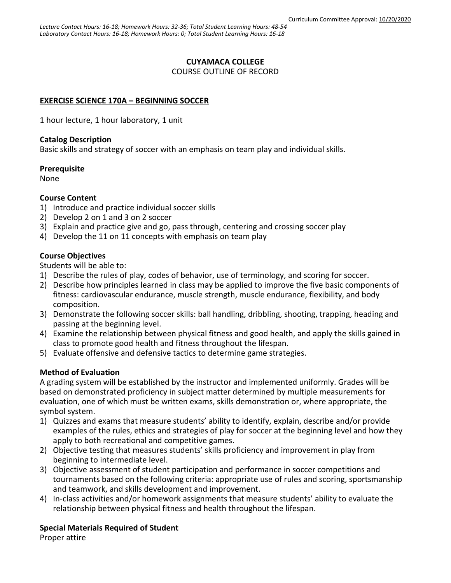# **CUYAMACA COLLEGE**

COURSE OUTLINE OF RECORD

# **EXERCISE SCIENCE 170A – BEGINNING SOCCER**

1 hour lecture, 1 hour laboratory, 1 unit

### **Catalog Description**

Basic skills and strategy of soccer with an emphasis on team play and individual skills.

### **Prerequisite**

None

## **Course Content**

- 1) Introduce and practice individual soccer skills
- 2) Develop 2 on 1 and 3 on 2 soccer
- 3) Explain and practice give and go, pass through, centering and crossing soccer play
- 4) Develop the 11 on 11 concepts with emphasis on team play

## **Course Objectives**

Students will be able to:

- 1) Describe the rules of play, codes of behavior, use of terminology, and scoring for soccer.
- 2) Describe how principles learned in class may be applied to improve the five basic components of fitness: cardiovascular endurance, muscle strength, muscle endurance, flexibility, and body composition.
- 3) Demonstrate the following soccer skills: ball handling, dribbling, shooting, trapping, heading and passing at the beginning level.
- 4) Examine the relationship between physical fitness and good health, and apply the skills gained in class to promote good health and fitness throughout the lifespan.
- 5) Evaluate offensive and defensive tactics to determine game strategies.

# **Method of Evaluation**

A grading system will be established by the instructor and implemented uniformly. Grades will be based on demonstrated proficiency in subject matter determined by multiple measurements for evaluation, one of which must be written exams, skills demonstration or, where appropriate, the symbol system.

- 1) Quizzes and exams that measure students' ability to identify, explain, describe and/or provide examples of the rules, ethics and strategies of play for soccer at the beginning level and how they apply to both recreational and competitive games.
- 2) Objective testing that measures students' skills proficiency and improvement in play from beginning to intermediate level.
- 3) Objective assessment of student participation and performance in soccer competitions and tournaments based on the following criteria: appropriate use of rules and scoring, sportsmanship and teamwork, and skills development and improvement.
- 4) In-class activities and/or homework assignments that measure students' ability to evaluate the relationship between physical fitness and health throughout the lifespan.

# **Special Materials Required of Student**

Proper attire